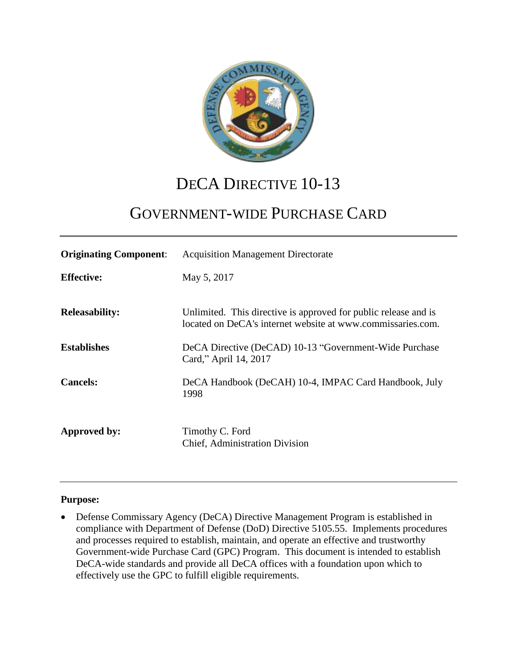

# DECA DIRECTIVE 10-13

# GOVERNMENT-WIDE PURCHASE CARD

| <b>Originating Component:</b> | <b>Acquisition Management Directorate</b>                                                                                      |
|-------------------------------|--------------------------------------------------------------------------------------------------------------------------------|
| <b>Effective:</b>             | May 5, 2017                                                                                                                    |
| <b>Releasability:</b>         | Unlimited. This directive is approved for public release and is<br>located on DeCA's internet website at www.commissaries.com. |
| <b>Establishes</b>            | DeCA Directive (DeCAD) 10-13 "Government-Wide Purchase<br>Card," April 14, 2017                                                |
| <b>Cancels:</b>               | DeCA Handbook (DeCAH) 10-4, IMPAC Card Handbook, July<br>1998                                                                  |
| Approved by:                  | Timothy C. Ford<br><b>Chief, Administration Division</b>                                                                       |

#### **Purpose:**

 Defense Commissary Agency (DeCA) Directive Management Program is established in compliance with Department of Defense (DoD) Directive 5105.55. Implements procedures and processes required to establish, maintain, and operate an effective and trustworthy Government-wide Purchase Card (GPC) Program. This document is intended to establish DeCA-wide standards and provide all DeCA offices with a foundation upon which to effectively use the GPC to fulfill eligible requirements.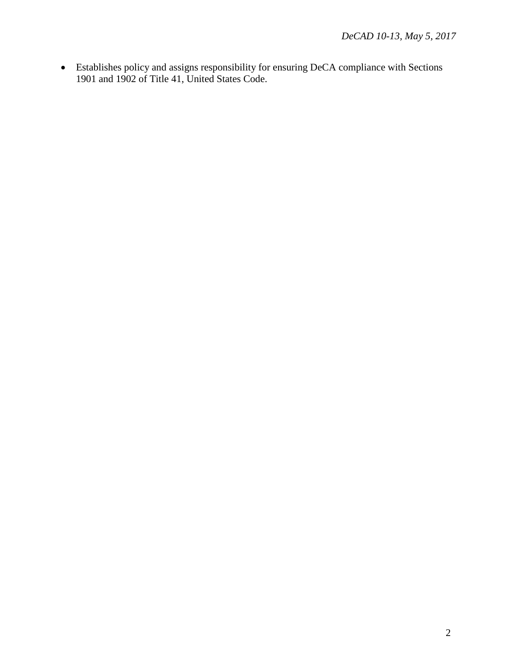Establishes policy and assigns responsibility for ensuring DeCA compliance with Sections 1901 and 1902 of Title 41, United States Code.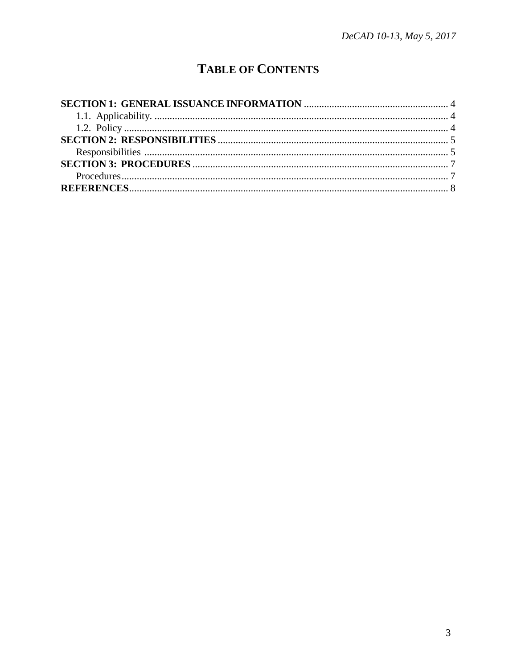## **TABLE OF CONTENTS**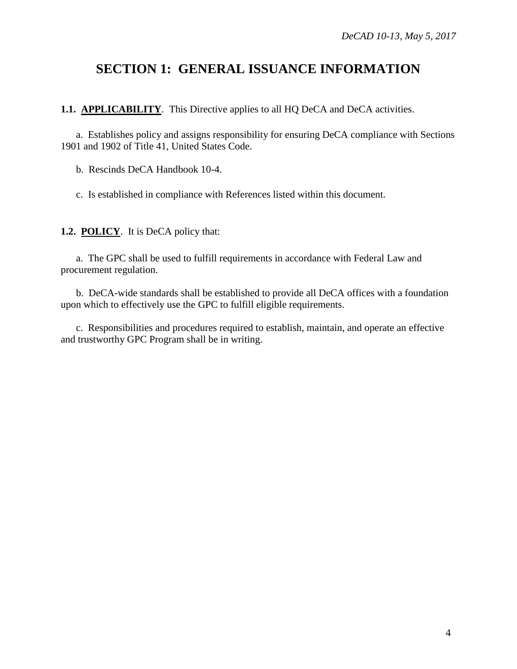### <span id="page-3-0"></span>**SECTION 1: GENERAL ISSUANCE INFORMATION**

<span id="page-3-1"></span>**1.1. APPLICABILITY**. This Directive applies to all HQ DeCA and DeCA activities.

a. Establishes policy and assigns responsibility for ensuring DeCA compliance with Sections 1901 and 1902 of Title 41, United States Code.

b. Rescinds DeCA Handbook 10-4.

c. Is established in compliance with References listed within this document.

<span id="page-3-2"></span>**1.2. POLICY**. It is DeCA policy that:

a. The GPC shall be used to fulfill requirements in accordance with Federal Law and procurement regulation.

b. DeCA-wide standards shall be established to provide all DeCA offices with a foundation upon which to effectively use the GPC to fulfill eligible requirements.

c. Responsibilities and procedures required to establish, maintain, and operate an effective and trustworthy GPC Program shall be in writing.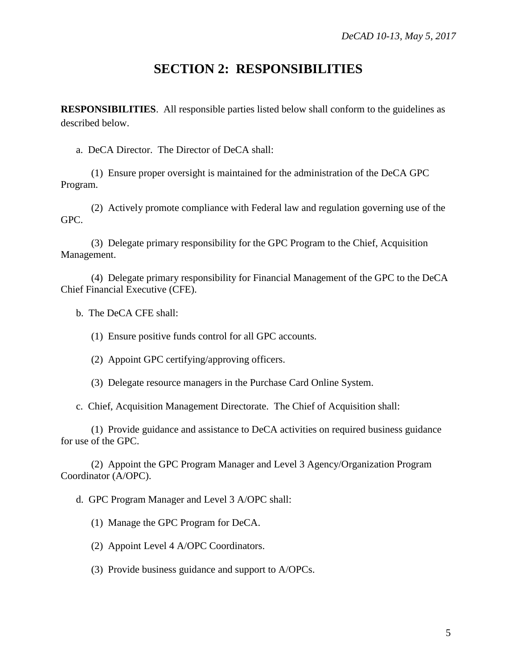#### **SECTION 2: RESPONSIBILITIES**

<span id="page-4-1"></span><span id="page-4-0"></span>**RESPONSIBILITIES**. All responsible parties listed below shall conform to the guidelines as described below.

a. DeCA Director. The Director of DeCA shall:

(1) Ensure proper oversight is maintained for the administration of the DeCA GPC Program.

(2) Actively promote compliance with Federal law and regulation governing use of the GPC.

(3) Delegate primary responsibility for the GPC Program to the Chief, Acquisition Management.

(4) Delegate primary responsibility for Financial Management of the GPC to the DeCA Chief Financial Executive (CFE).

b. The DeCA CFE shall:

(1) Ensure positive funds control for all GPC accounts.

(2) Appoint GPC certifying/approving officers.

(3) Delegate resource managers in the Purchase Card Online System.

c. Chief, Acquisition Management Directorate. The Chief of Acquisition shall:

(1) Provide guidance and assistance to DeCA activities on required business guidance for use of the GPC.

(2) Appoint the GPC Program Manager and Level 3 Agency/Organization Program Coordinator (A/OPC).

d. GPC Program Manager and Level 3 A/OPC shall:

(1) Manage the GPC Program for DeCA.

(2) Appoint Level 4 A/OPC Coordinators.

(3) Provide business guidance and support to A/OPCs.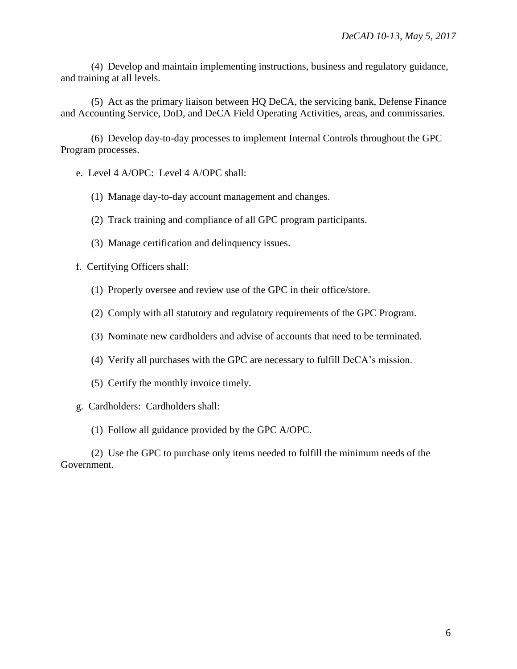(4) Develop and maintain implementing instructions, business and regulatory guidance, and training at all levels.

(5) Act as the primary liaison between HQ DeCA, the servicing bank, Defense Finance and Accounting Service, DoD, and DeCA Field Operating Activities, areas, and commissaries.

(6) Develop day-to-day processes to implement Internal Controls throughout the GPC Program processes.

e. Level 4 A/OPC: Level 4 A/OPC shall:

- (1) Manage day-to-day account management and changes.
- (2) Track training and compliance of all GPC program participants.
- (3) Manage certification and delinquency issues.

f. Certifying Officers shall:

- (1) Properly oversee and review use of the GPC in their office/store.
- (2) Comply with all statutory and regulatory requirements of the GPC Program.
- (3) Nominate new cardholders and advise of accounts that need to be terminated.
- (4) Verify all purchases with the GPC are necessary to fulfill DeCA's mission.
- (5) Certify the monthly invoice timely.
- g. Cardholders: Cardholders shall:
	- (1) Follow all guidance provided by the GPC A/OPC.

(2) Use the GPC to purchase only items needed to fulfill the minimum needs of the Government.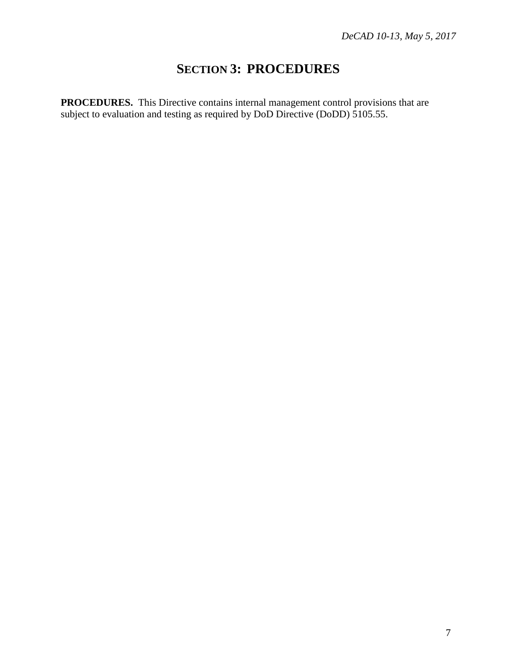### **SECTION 3: PROCEDURES**

<span id="page-6-1"></span><span id="page-6-0"></span>**PROCEDURES.** This Directive contains internal management control provisions that are subject to evaluation and testing as required by DoD Directive (DoDD) 5105.55.